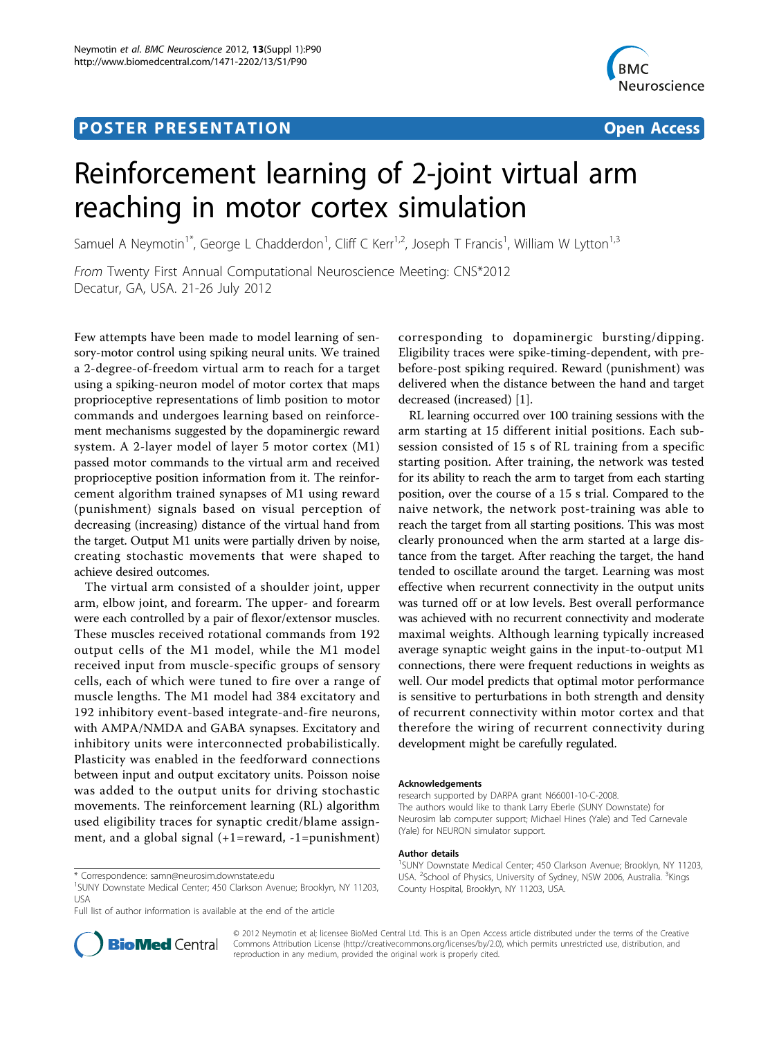## **POSTER PRESENTATION CONSUMING THE SERVICE SERVICE SERVICES**



# Reinforcement learning of 2-joint virtual arm reaching in motor cortex simulation

Samuel A Neymotin<sup>1\*</sup>, George L Chadderdon<sup>1</sup>, Cliff C Kerr<sup>1,2</sup>, Joseph T Francis<sup>1</sup>, William W Lytton<sup>1,3</sup>

From Twenty First Annual Computational Neuroscience Meeting: CNS\*2012 Decatur, GA, USA. 21-26 July 2012

Few attempts have been made to model learning of sensory-motor control using spiking neural units. We trained a 2-degree-of-freedom virtual arm to reach for a target using a spiking-neuron model of motor cortex that maps proprioceptive representations of limb position to motor commands and undergoes learning based on reinforcement mechanisms suggested by the dopaminergic reward system. A 2-layer model of layer 5 motor cortex (M1) passed motor commands to the virtual arm and received proprioceptive position information from it. The reinforcement algorithm trained synapses of M1 using reward (punishment) signals based on visual perception of decreasing (increasing) distance of the virtual hand from the target. Output M1 units were partially driven by noise, creating stochastic movements that were shaped to achieve desired outcomes.

The virtual arm consisted of a shoulder joint, upper arm, elbow joint, and forearm. The upper- and forearm were each controlled by a pair of flexor/extensor muscles. These muscles received rotational commands from 192 output cells of the M1 model, while the M1 model received input from muscle-specific groups of sensory cells, each of which were tuned to fire over a range of muscle lengths. The M1 model had 384 excitatory and 192 inhibitory event-based integrate-and-fire neurons, with AMPA/NMDA and GABA synapses. Excitatory and inhibitory units were interconnected probabilistically. Plasticity was enabled in the feedforward connections between input and output excitatory units. Poisson noise was added to the output units for driving stochastic movements. The reinforcement learning (RL) algorithm used eligibility traces for synaptic credit/blame assignment, and a global signal (+1=reward, -1=punishment)

Full list of author information is available at the end of the article

corresponding to dopaminergic bursting/dipping. Eligibility traces were spike-timing-dependent, with prebefore-post spiking required. Reward (punishment) was delivered when the distance between the hand and target decreased (increased) [\[1](#page-1-0)].

RL learning occurred over 100 training sessions with the arm starting at 15 different initial positions. Each subsession consisted of 15 s of RL training from a specific starting position. After training, the network was tested for its ability to reach the arm to target from each starting position, over the course of a 15 s trial. Compared to the naive network, the network post-training was able to reach the target from all starting positions. This was most clearly pronounced when the arm started at a large distance from the target. After reaching the target, the hand tended to oscillate around the target. Learning was most effective when recurrent connectivity in the output units was turned off or at low levels. Best overall performance was achieved with no recurrent connectivity and moderate maximal weights. Although learning typically increased average synaptic weight gains in the input-to-output M1 connections, there were frequent reductions in weights as well. Our model predicts that optimal motor performance is sensitive to perturbations in both strength and density of recurrent connectivity within motor cortex and that therefore the wiring of recurrent connectivity during development might be carefully regulated.

#### Acknowledgements

research supported by DARPA grant N66001-10-C-2008. The authors would like to thank Larry Eberle (SUNY Downstate) for Neurosim lab computer support; Michael Hines (Yale) and Ted Carnevale (Yale) for NEURON simulator support.

#### Author details

<sup>1</sup>SUNY Downstate Medical Center; 450 Clarkson Avenue; Brooklyn, NY 11203 USA. <sup>2</sup>School of Physics, University of Sydney, NSW 2006, Australia. <sup>3</sup>Kings County Hospital, Brooklyn, NY 11203, USA.



© 2012 Neymotin et al; licensee BioMed Central Ltd. This is an Open Access article distributed under the terms of the Creative Commons Attribution License [\(http://creativecommons.org/licenses/by/2.0](http://creativecommons.org/licenses/by/2.0)), which permits unrestricted use, distribution, and reproduction in any medium, provided the original work is properly cited.

<sup>\*</sup> Correspondence: [samn@neurosim.downstate.edu](mailto:samn@neurosim.downstate.edu)

<sup>&</sup>lt;sup>1</sup>SUNY Downstate Medical Center; 450 Clarkson Avenue; Brooklyn, NY 11203, USA